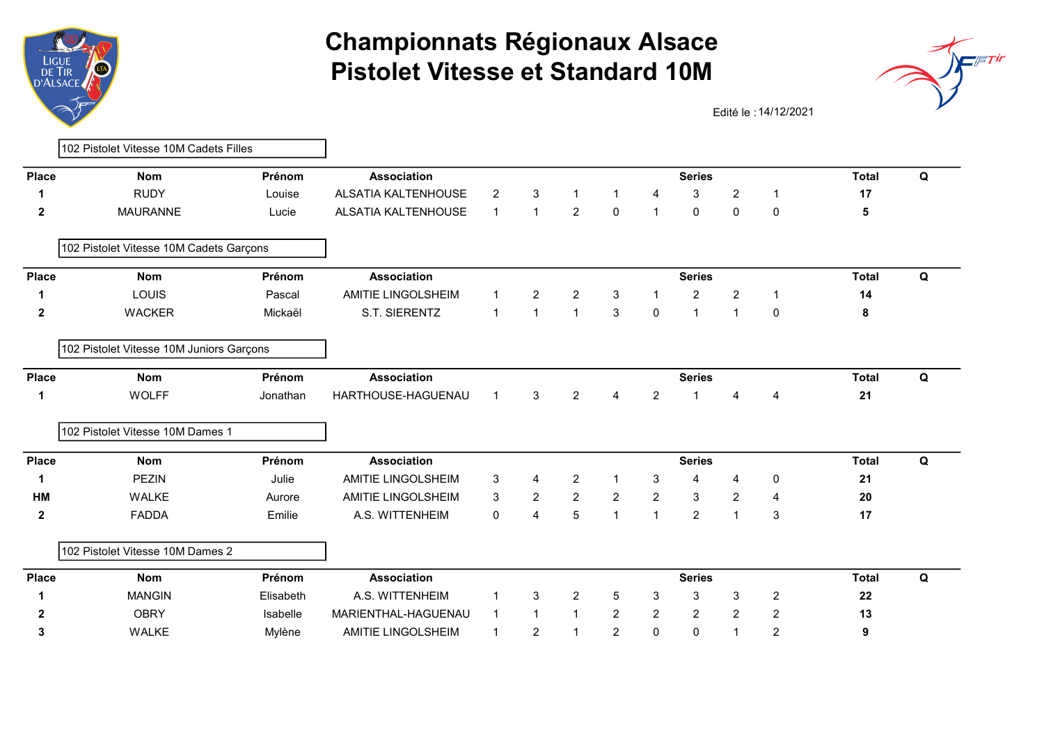



Edité le : 14/12/2021

| <b>Place</b> |                                          |           |                           |                |                |                |                |                |                |                  |                |              |   |
|--------------|------------------------------------------|-----------|---------------------------|----------------|----------------|----------------|----------------|----------------|----------------|------------------|----------------|--------------|---|
|              | <b>Nom</b>                               | Prénom    | <b>Association</b>        |                |                |                |                |                | <b>Series</b>  |                  |                | <b>Total</b> | Q |
| 1            | <b>RUDY</b>                              | Louise    | ALSATIA KALTENHOUSE       | $\overline{c}$ | 3              |                | $\mathbf{1}$   | 4              | 3              | $\overline{2}$   | $\mathbf 1$    | 17           |   |
| $\mathbf 2$  | <b>MAURANNE</b>                          | Lucie     | ALSATIA KALTENHOUSE       | $\mathbf{1}$   | $\mathbf{1}$   | $\overline{2}$ | $\pmb{0}$      | $\mathbf{1}$   | 0              | 0                | $\mathbf 0$    | 5            |   |
|              | 102 Pistolet Vitesse 10M Cadets Garçons  |           |                           |                |                |                |                |                |                |                  |                |              |   |
| <b>Place</b> | <b>Nom</b>                               | Prénom    | <b>Association</b>        |                |                |                |                |                | <b>Series</b>  |                  |                | <b>Total</b> | Q |
| 1            | LOUIS                                    | Pascal    | <b>AMITIE LINGOLSHEIM</b> | $\mathbf{1}$   | $\overline{2}$ | $\overline{2}$ | 3              | $\mathbf{1}$   | $\overline{c}$ | 2                | $\mathbf 1$    | 14           |   |
| $\mathbf{2}$ | <b>WACKER</b>                            | Mickaël   | S.T. SIERENTZ             | $\mathbf{1}$   | $\mathbf{1}$   | $\mathbf{1}$   | 3              | $\mathbf 0$    | $\mathbf{1}$   | $\overline{1}$   | $\mathbf 0$    | 8            |   |
|              | 102 Pistolet Vitesse 10M Juniors Garçons |           |                           |                |                |                |                |                |                |                  |                |              |   |
| <b>Place</b> | <b>Nom</b>                               | Prénom    | <b>Association</b>        |                |                |                |                |                | <b>Series</b>  |                  |                | <b>Total</b> | Q |
| 1            | <b>WOLFF</b>                             | Jonathan  | HARTHOUSE-HAGUENAU        | $\mathbf{1}$   | 3              | $\overline{2}$ | 4              | $\overline{2}$ | $\mathbf 1$    | $\boldsymbol{4}$ | $\overline{4}$ | 21           |   |
|              | 102 Pistolet Vitesse 10M Dames 1         |           |                           |                |                |                |                |                |                |                  |                |              |   |
| <b>Place</b> | <b>Nom</b>                               | Prénom    | <b>Association</b>        |                |                |                |                |                | <b>Series</b>  |                  |                | <b>Total</b> | Q |
| 1            | <b>PEZIN</b>                             | Julie     | <b>AMITIE LINGOLSHEIM</b> | 3              | 4              | $\overline{c}$ | $\mathbf{1}$   | 3              | 4              | 4                | 0              | 21           |   |
| <b>HM</b>    | <b>WALKE</b>                             | Aurore    | AMITIE LINGOLSHEIM        | 3              | $\overline{2}$ | $\overline{2}$ | $\overline{2}$ | $\overline{2}$ | 3              | $\overline{2}$   | 4              | 20           |   |
| $\mathbf{2}$ | <b>FADDA</b>                             | Emilie    | A.S. WITTENHEIM           | $\mathbf 0$    | 4              | 5              | $\mathbf{1}$   | $\mathbf{1}$   | $\overline{2}$ | $\overline{1}$   | 3              | 17           |   |
|              | 102 Pistolet Vitesse 10M Dames 2         |           |                           |                |                |                |                |                |                |                  |                |              |   |
| <b>Place</b> | <b>Nom</b>                               | Prénom    | <b>Association</b>        |                |                |                |                |                | <b>Series</b>  |                  |                | <b>Total</b> | Q |
| 1            | <b>MANGIN</b>                            | Elisabeth | A.S. WITTENHEIM           | $\mathbf 1$    | 3              | 2              | $\,$ 5 $\,$    | 3              | 3              | 3                | $\overline{c}$ | 22           |   |
| $\mathbf{2}$ | <b>OBRY</b>                              | Isabelle  | MARIENTHAL-HAGUENAU       | $\mathbf{1}$   | $\mathbf{1}$   | $\mathbf{1}$   | $\overline{2}$ | $\overline{2}$ | $\overline{2}$ | $\overline{2}$   | $\overline{2}$ | 13           |   |
| 3            | <b>WALKE</b>                             | Mylène    | AMITIE LINGOLSHEIM        | $\mathbf 1$    | $\overline{c}$ | $\mathbf 1$    | $\overline{2}$ | 0              | 0              | $\overline{1}$   | $\overline{c}$ | 9            |   |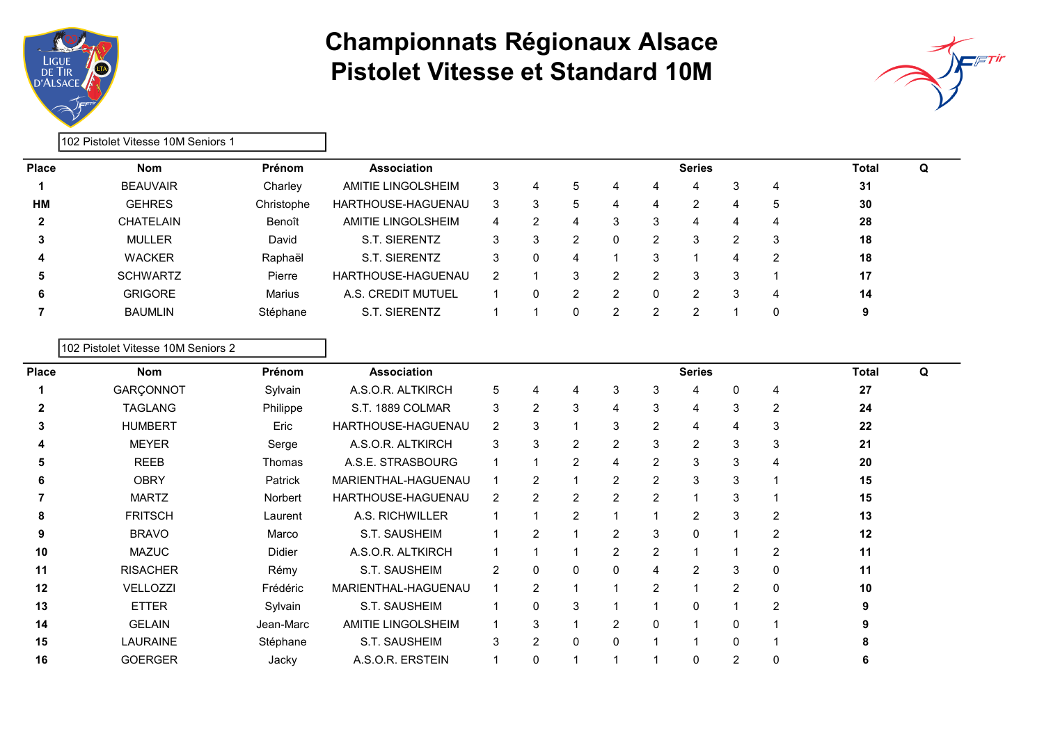



|              | l102 Pistolet Vitesse 10M Seniors 1 |               |                    |   |   |               |   |   |       |   |   |    |  |
|--------------|-------------------------------------|---------------|--------------------|---|---|---------------|---|---|-------|---|---|----|--|
| <b>Place</b> | <b>Nom</b>                          | Prénom        | <b>Association</b> |   |   |               |   |   | Total | Q |   |    |  |
|              | <b>BEAUVAIR</b>                     | Charley       | AMITIE LINGOLSHEIM | 3 | 4 | 5             | 4 | 4 | 4     | 3 | 4 | 31 |  |
| <b>HM</b>    | <b>GEHRES</b>                       | Christophe    | HARTHOUSE-HAGUENAU | 3 | 3 | 5             | 4 | 4 | 2     |   | 5 | 30 |  |
|              | <b>CHATELAIN</b>                    | Benoît        | AMITIE LINGOLSHEIM | 4 |   | 4             | 3 | 3 | 4     |   | 4 | 28 |  |
| 3            | <b>MULLER</b>                       | David         | S.T. SIERENTZ      | 3 |   | $\mathcal{P}$ | 0 | 2 | 3     | っ | 3 | 18 |  |
| 4            | <b>WACKER</b>                       | Raphaël       | S.T. SIERENTZ      | 3 |   | 4             |   | 3 |       |   | 2 | 18 |  |
| 5            | <b>SCHWARTZ</b>                     | Pierre        | HARTHOUSE-HAGUENAU | 2 |   | 3             | າ | 2 | 3     | 3 |   | 17 |  |
| 6            | <b>GRIGORE</b>                      | <b>Marius</b> | A.S. CREDIT MUTUEL |   |   | 2             | 2 | 0 | 2     | 3 | 4 | 14 |  |
|              | <b>BAUMLIN</b>                      | Stéphane      | S.T. SIERENTZ      |   |   | 0             | າ | 2 | າ     |   |   | 9  |  |

#### 102 Pistolet Vitesse 10M Seniors 2

| <b>Nom</b>      | Prénom    | <b>Association</b>  |                |                |                |                |                | <b>Series</b> |                |                | <b>Total</b> | Q |  |
|-----------------|-----------|---------------------|----------------|----------------|----------------|----------------|----------------|---------------|----------------|----------------|--------------|---|--|
| GARÇONNOT       | Sylvain   | A.S.O.R. ALTKIRCH   | 5              | 4              | 4              | 3              | 3              | 4             |                | 4              | 27           |   |  |
| <b>TAGLANG</b>  | Philippe  | S.T. 1889 COLMAR    | 3              | 2              | 3              | 4              | 3              | 4             | 3              | 2              | 24           |   |  |
| <b>HUMBERT</b>  | Eric      | HARTHOUSE-HAGUENAU  | $\overline{2}$ | 3              |                | 3              | 2              | 4             | 4              | 3              | 22           |   |  |
| <b>MEYER</b>    | Serge     | A.S.O.R. ALTKIRCH   | 3              | 3              | 2              | 2              | 3              | 2             | 3              | 3              | 21           |   |  |
| <b>REEB</b>     | Thomas    | A.S.E. STRASBOURG   |                |                | $\overline{2}$ | 4              | $\overline{2}$ | 3             | 3              | 4              | 20           |   |  |
| <b>OBRY</b>     | Patrick   | MARIENTHAL-HAGUENAU |                | $\overline{2}$ |                | $\overline{2}$ | $\overline{2}$ | 3             | 3              |                | 15           |   |  |
| <b>MARTZ</b>    | Norbert   | HARTHOUSE-HAGUENAU  | $\overline{2}$ | 2              | 2              | $\overline{2}$ | $\overline{c}$ |               | 3              |                | 15           |   |  |
| <b>FRITSCH</b>  | Laurent   | A.S. RICHWILLER     |                |                | $\overline{2}$ |                |                | 2             | 3              | 2              | 13           |   |  |
| <b>BRAVO</b>    | Marco     | S.T. SAUSHEIM       |                | 2              |                | $\overline{2}$ | 3              | $\mathbf{0}$  |                | 2              | 12           |   |  |
| <b>MAZUC</b>    | Didier    | A.S.O.R. ALTKIRCH   |                |                |                | $\overline{2}$ | $\overline{2}$ |               |                | $\overline{2}$ | 11           |   |  |
| <b>RISACHER</b> | Rémy      | S.T. SAUSHEIM       | $\overline{2}$ | 0              | 0              | 0              | 4              | 2             | 3              | $\mathbf 0$    | 11           |   |  |
| VELLOZZI        | Frédéric  | MARIENTHAL-HAGUENAU |                | $\overline{2}$ |                |                | $\overline{2}$ |               | 2              | 0              | 10           |   |  |
| <b>ETTER</b>    | Sylvain   | S.T. SAUSHEIM       |                | 0              | 3              |                |                | $\mathbf{0}$  |                | $\overline{2}$ |              |   |  |
| <b>GELAIN</b>   | Jean-Marc | AMITIE LINGOLSHEIM  |                | 3              |                | $\overline{2}$ | 0              |               | 0              |                |              |   |  |
| <b>LAURAINE</b> | Stéphane  | S.T. SAUSHEIM       | 3              | $\mathcal{P}$  | 0              | 0              |                |               | $\Omega$       |                |              |   |  |
| <b>GOERGER</b>  | Jacky     | A.S.O.R. ERSTEIN    |                | 0              |                |                |                | 0             | $\overline{2}$ | 0              |              |   |  |
|                 |           |                     |                |                |                |                |                |               |                |                |              |   |  |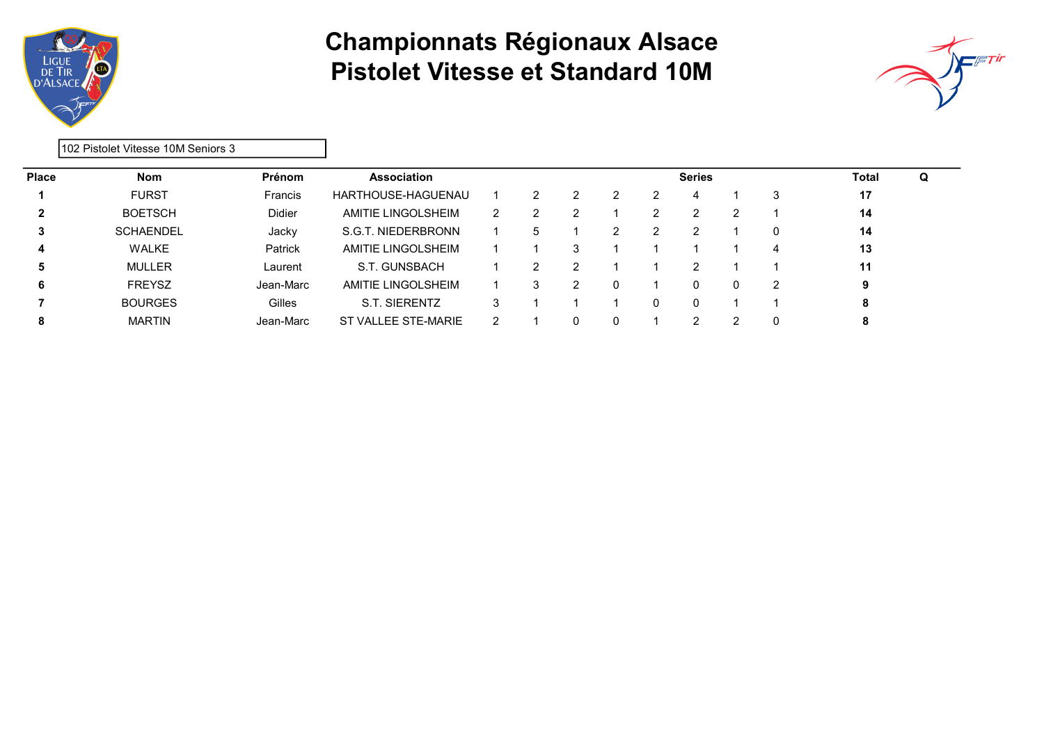



102 Pistolet Vitesse 10M Seniors 3

| <b>Place</b> | <b>Nom</b>       | Prénom        | <b>Association</b>             |   |              |   |          | <b>Series</b> |   | Total | Q |
|--------------|------------------|---------------|--------------------------------|---|--------------|---|----------|---------------|---|-------|---|
|              | <b>FURST</b>     | Francis       | HARTHOUSE-HAGUENAU             |   |              | ົ | ົ        |               |   | 17    |   |
|              | <b>BOETSCH</b>   | <b>Didier</b> | AMITIE LINGOLSHEIM             | 2 |              |   |          | ົ             |   | 14    |   |
|              | <b>SCHAENDEL</b> | Jacky         | <b>F. NIEDERBRONN</b><br>S.G.T |   | $\mathbf{b}$ |   | 2        |               | 0 | 14    |   |
| 4            | <b>WALKE</b>     | Patrick       | AMITIE LINGOLSHEIM             |   |              | 3 |          |               |   | 13    |   |
| 5            | <b>MULLER</b>    | Laurent       | S.T. GUNSBACH                  |   | າ            |   |          | າ             |   | 11    |   |
| 6            | <b>FREYSZ</b>    | Jean-Marc     | AMITIE LINGOLSHEIM             |   | 3            | 2 | $\Omega$ | 0             | 2 | 9     |   |
|              | <b>BOURGES</b>   | Gilles        | S.T. SIERENTZ                  |   |              |   |          | 0             |   | 8     |   |
|              | <b>MARTIN</b>    | Jean-Marc     | ST VALLEE STE-MARIE            |   |              | 0 |          |               |   | 8     |   |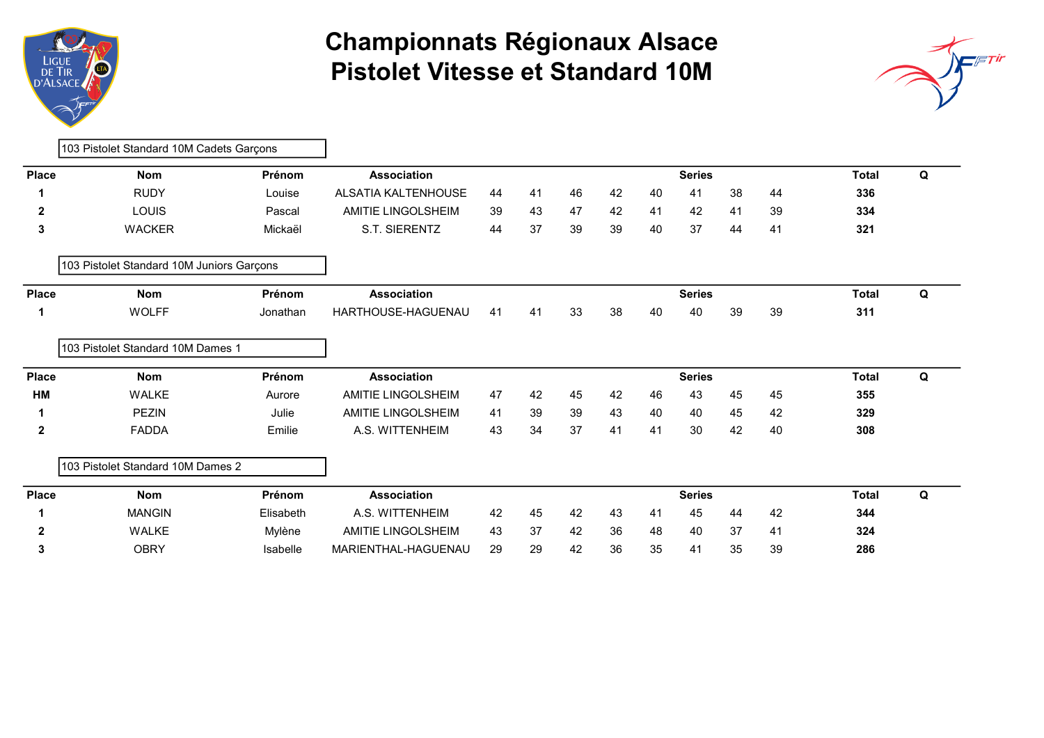



|              | 103 Pistolet Standard 10M Cadets Garçons  |           |                            |    |    |    |    |    |               |    |              |              |   |
|--------------|-------------------------------------------|-----------|----------------------------|----|----|----|----|----|---------------|----|--------------|--------------|---|
| <b>Place</b> | <b>Nom</b>                                | Prénom    | <b>Association</b>         |    |    |    |    |    | <b>Series</b> |    |              | <b>Total</b> | Q |
|              | <b>RUDY</b>                               | Louise    | <b>ALSATIA KALTENHOUSE</b> | 44 | 41 | 46 | 42 | 40 | 41            | 38 | 44           | 336          |   |
| $\mathbf{2}$ | <b>LOUIS</b>                              | Pascal    | AMITIE LINGOLSHEIM         | 39 | 43 | 47 | 42 | 41 | 42            | 41 | 39           | 334          |   |
| 3            | <b>WACKER</b>                             | Mickaël   | S.T. SIERENTZ              | 44 | 37 | 39 | 39 | 40 | 37            | 44 | 41           | 321          |   |
|              | 103 Pistolet Standard 10M Juniors Garçons |           |                            |    |    |    |    |    |               |    |              |              |   |
| <b>Place</b> | <b>Nom</b>                                | Prénom    | <b>Association</b>         |    |    |    |    |    | <b>Series</b> |    | <b>Total</b> | Q            |   |
| 1            | <b>WOLFF</b>                              | Jonathan  | HARTHOUSE-HAGUENAU         | 41 | 41 | 33 | 38 | 40 | 40            | 39 | 39           | 311          |   |
|              | 103 Pistolet Standard 10M Dames 1         |           |                            |    |    |    |    |    |               |    |              |              |   |
| <b>Place</b> | <b>Nom</b>                                | Prénom    | <b>Association</b>         |    |    |    |    |    | <b>Series</b> |    |              | <b>Total</b> | Q |
| HM           | <b>WALKE</b>                              | Aurore    | <b>AMITIE LINGOLSHEIM</b>  | 47 | 42 | 45 | 42 | 46 | 43            | 45 | 45           | 355          |   |
| 1            | <b>PEZIN</b>                              | Julie     | <b>AMITIE LINGOLSHEIM</b>  | 41 | 39 | 39 | 43 | 40 | 40            | 45 | 42           | 329          |   |
| $\mathbf 2$  | <b>FADDA</b>                              | Emilie    | A.S. WITTENHEIM            | 43 | 34 | 37 | 41 | 41 | 30            | 42 | 40           | 308          |   |
|              | 103 Pistolet Standard 10M Dames 2         |           |                            |    |    |    |    |    |               |    |              |              |   |
| <b>Place</b> | <b>Nom</b>                                | Prénom    | <b>Association</b>         |    |    |    |    |    | <b>Series</b> |    |              | <b>Total</b> | Q |
|              | <b>MANGIN</b>                             | Elisabeth | A.S. WITTENHEIM            | 42 | 45 | 42 | 43 | 41 | 45            | 44 | 42           | 344          |   |
| $\mathbf 2$  | <b>WALKE</b>                              | Mylène    | AMITIE LINGOLSHEIM         | 43 | 37 | 42 | 36 | 48 | 40            | 37 | 41           | 324          |   |
| 3            | <b>OBRY</b>                               | Isabelle  | MARIENTHAL-HAGUENAU        | 29 | 29 | 42 | 36 | 35 | 41            | 35 | 39           | 286          |   |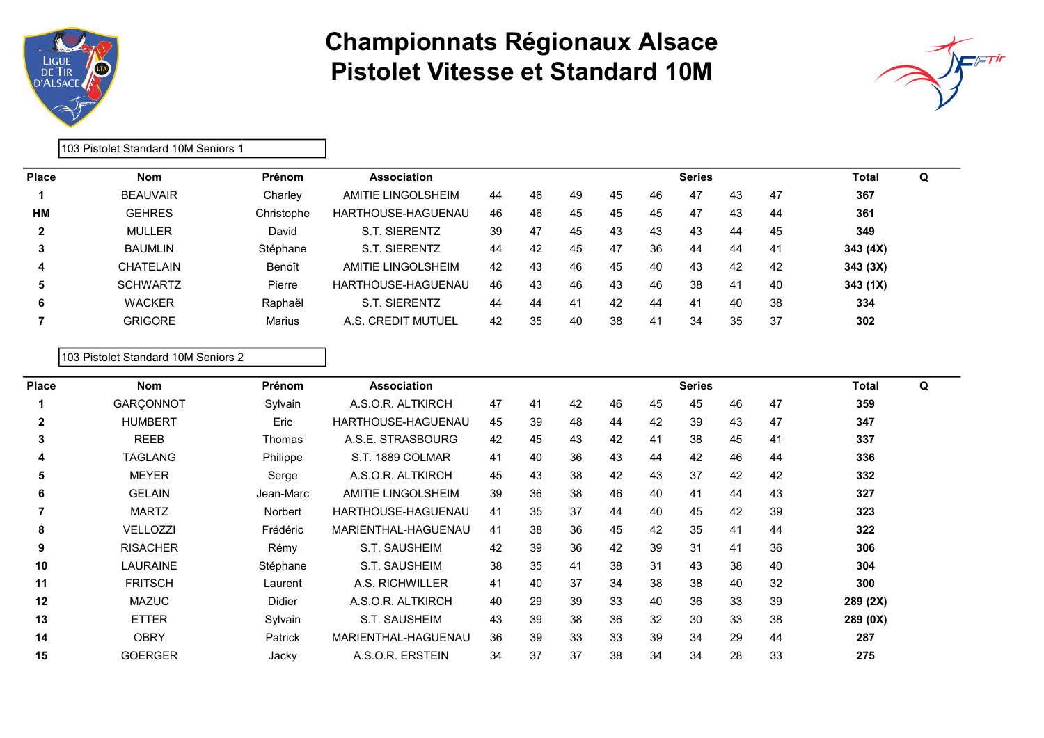



103 Pistolet Standard 10M Seniors 1

| <b>Place</b> | <b>Nom</b>      | <b>Prénom</b> | Association        |    |    |    |    |    | <b>Series</b> |    |     | Total    | Q |
|--------------|-----------------|---------------|--------------------|----|----|----|----|----|---------------|----|-----|----------|---|
|              | <b>BEAUVAIR</b> | Charley       | AMITIE LINGOLSHEIM | 44 | 46 | 49 | 45 | 46 | 47            | 43 | 47  | 367      |   |
| <b>HM</b>    | <b>GEHRES</b>   | Christophe    | HARTHOUSE-HAGUENAU | 46 | 46 | 45 | 45 | 45 | 47            | 43 | 44  | 361      |   |
| $\mathbf{2}$ | <b>MULLER</b>   | David         | S.T. SIERENTZ      | 39 | 47 | 45 | 43 | 43 | 43            | 44 | 45  | 349      |   |
| 3            | <b>BAUMLIN</b>  | Stéphane      | S.T. SIERENTZ      | 44 | 42 | 45 | 47 | 36 | 44            | 44 | 41  | 343 (4X) |   |
| 4            | CHATELAIN       | Benoît        | AMITIE LINGOLSHEIM | 42 | 43 | 46 | 45 | 40 | 43            | 42 | 42  | 343(3X)  |   |
| 5            | <b>SCHWARTZ</b> | Pierre        | HARTHOUSE-HAGUENAU | 46 | 43 | 46 | 43 | 46 | 38            | 41 | 40  | 343(1X)  |   |
| 6            | <b>WACKER</b>   | Raphaël       | SIERENTZ<br>S.T    | 44 | 44 | 41 | 42 | 44 | 41            | 40 | 38  | 334      |   |
|              | <b>GRIGORE</b>  | Marius        | A.S. CREDIT MUTUEL | 42 | 35 | 40 | 38 | 41 | 34            | 35 | -37 | 302      |   |
|              |                 |               |                    |    |    |    |    |    |               |    |     |          |   |

103 Pistolet Standard 10M Seniors 2

| Place        | <b>Nom</b>      | Prénom        | <b>Association</b>  |    |    |    |    |    | <b>Series</b> |    |    | <b>Total</b> | Q |
|--------------|-----------------|---------------|---------------------|----|----|----|----|----|---------------|----|----|--------------|---|
|              | GARÇONNOT       | Sylvain       | A.S.O.R. ALTKIRCH   | 47 | 41 | 42 | 46 | 45 | 45            | 46 | 47 | 359          |   |
| $\mathbf{2}$ | <b>HUMBERT</b>  | Eric          | HARTHOUSE-HAGUENAU  | 45 | 39 | 48 | 44 | 42 | 39            | 43 | 47 | 347          |   |
| 3            | <b>REEB</b>     | <b>Thomas</b> | A.S.E. STRASBOURG   | 42 | 45 | 43 | 42 | 41 | 38            | 45 | 41 | 337          |   |
| 4            | <b>TAGLANG</b>  | Philippe      | S.T. 1889 COLMAR    | 41 | 40 | 36 | 43 | 44 | 42            | 46 | 44 | 336          |   |
| 5            | <b>MEYER</b>    | Serge         | A.S.O.R. ALTKIRCH   | 45 | 43 | 38 | 42 | 43 | 37            | 42 | 42 | 332          |   |
| 6            | <b>GELAIN</b>   | Jean-Marc     | AMITIE LINGOLSHEIM  | 39 | 36 | 38 | 46 | 40 | 41            | 44 | 43 | 327          |   |
|              | <b>MARTZ</b>    | Norbert       | HARTHOUSE-HAGUENAU  | 41 | 35 | 37 | 44 | 40 | 45            | 42 | 39 | 323          |   |
| 8            | <b>VELLOZZI</b> | Frédéric      | MARIENTHAL-HAGUENAU | 41 | 38 | 36 | 45 | 42 | 35            | 41 | 44 | 322          |   |
| 9            | <b>RISACHER</b> | Rémy          | S.T. SAUSHEIM       | 42 | 39 | 36 | 42 | 39 | 31            | 41 | 36 | 306          |   |
| 10           | <b>LAURAINE</b> | Stéphane      | S.T. SAUSHEIM       | 38 | 35 | 41 | 38 | 31 | 43            | 38 | 40 | 304          |   |
| 11           | <b>FRITSCH</b>  | Laurent       | A.S. RICHWILLER     | 41 | 40 | 37 | 34 | 38 | 38            | 40 | 32 | 300          |   |
| 12           | <b>MAZUC</b>    | Didier        | A.S.O.R. ALTKIRCH   | 40 | 29 | 39 | 33 | 40 | 36            | 33 | 39 | 289 (2X)     |   |
| 13           | <b>ETTER</b>    | Sylvain       | S.T. SAUSHEIM       | 43 | 39 | 38 | 36 | 32 | 30            | 33 | 38 | 289 (0X)     |   |
| 14           | <b>OBRY</b>     | Patrick       | MARIENTHAL-HAGUENAU | 36 | 39 | 33 | 33 | 39 | 34            | 29 | 44 | 287          |   |
| 15           | <b>GOERGER</b>  | Jacky         | A.S.O.R. ERSTEIN    | 34 | 37 | 37 | 38 | 34 | 34            | 28 | 33 | 275          |   |
|              |                 |               |                     |    |    |    |    |    |               |    |    |              |   |